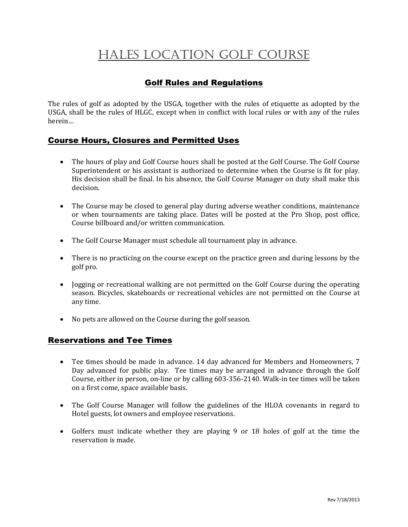# Hales Location Golf COURSE

## Golf Rules and Regulations

The rules of golf as adopted by the USGA, together with the rules of etiquette as adopted by the USGA, shall be the rules of HLGC, except when in conflict with local rules or with any of the rules herein…

## Course Hours, Closures and Permitted Uses

- The hours of play and Golf Course hours shall be posted at the Golf Course. The Golf Course Superintendent or his assistant is authorized to determine when the Course is fit for play. His decision shall be final. In his absence, the Golf Course Manager on duty shall make this decision.
- The Course may be closed to general play during adverse weather conditions, maintenance or when tournaments are taking place. Dates will be posted at the Pro Shop, post office, Course billboard and/or written communication.
- The Golf Course Manager must schedule all tournament play in advance.
- There is no practicing on the course except on the practice green and during lessons by the golf pro.
- Jogging or recreational walking are not permitted on the Golf Course during the operating season. Bicycles, skateboards or recreational vehicles are not permitted on the Course at any time.
- No pets are allowed on the Course during the golf season.

## Reservations and Tee Times

- Tee times should be made in advance. 14 day advanced for Members and Homeowners, 7 Day advanced for public play. Tee times may be arranged in advance through the Golf Course, either in person, on-line or by calling 603-356-2140. Walk-in tee times will be taken on a first come, space available basis.
- The Golf Course Manager will follow the guidelines of the HLOA covenants in regard to Hotel guests, lot owners and employee reservations.
- Golfers must indicate whether they are playing 9 or 18 holes of golf at the time the reservation is made.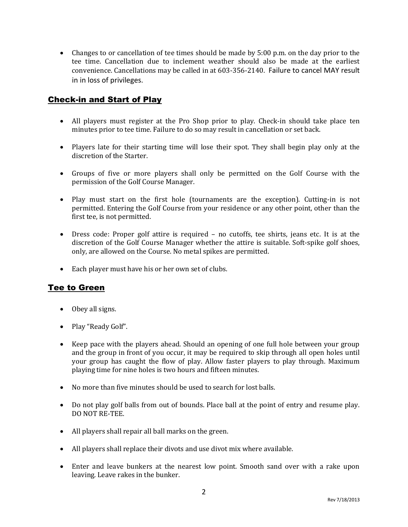Changes to or cancellation of tee times should be made by 5:00 p.m. on the day prior to the tee time. Cancellation due to inclement weather should also be made at the earliest convenience. Cancellations may be called in at 603-356-2140. Failure to cancel MAY result in in loss of privileges.

## Check-in and Start of Play

- All players must register at the Pro Shop prior to play. Check-in should take place ten minutes prior to tee time. Failure to do so may result in cancellation or set back.
- Players late for their starting time will lose their spot. They shall begin play only at the discretion of the Starter.
- Groups of five or more players shall only be permitted on the Golf Course with the permission of the Golf Course Manager.
- Play must start on the first hole (tournaments are the exception). Cutting-in is not permitted. Entering the Golf Course from your residence or any other point, other than the first tee, is not permitted.
- Dress code: Proper golf attire is required no cutoffs, tee shirts, jeans etc. It is at the discretion of the Golf Course Manager whether the attire is suitable. Soft-spike golf shoes, only, are allowed on the Course. No metal spikes are permitted.
- Each player must have his or her own set of clubs.

## Tee to Green

- Obey all signs.
- Play "Ready Golf".
- Keep pace with the players ahead. Should an opening of one full hole between your group and the group in front of you occur, it may be required to skip through all open holes until your group has caught the flow of play. Allow faster players to play through. Maximum playing time for nine holes is two hours and fifteen minutes.
- No more than five minutes should be used to search for lost balls.
- Do not play golf balls from out of bounds. Place ball at the point of entry and resume play. DO NOT RE-TEE.
- All players shall repair all ball marks on the green.
- All players shall replace their divots and use divot mix where available.
- Enter and leave bunkers at the nearest low point. Smooth sand over with a rake upon leaving. Leave rakes in the bunker.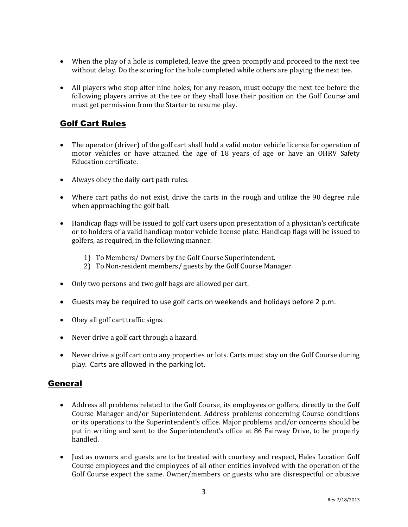- When the play of a hole is completed, leave the green promptly and proceed to the next tee without delay. Do the scoring for the hole completed while others are playing the next tee.
- All players who stop after nine holes, for any reason, must occupy the next tee before the following players arrive at the tee or they shall lose their position on the Golf Course and must get permission from the Starter to resume play.

## Golf Cart Rules

- The operator (driver) of the golf cart shall hold a valid motor vehicle license for operation of motor vehicles or have attained the age of 18 years of age or have an OHRV Safety Education certificate.
- Always obey the daily cart path rules.
- Where cart paths do not exist, drive the carts in the rough and utilize the 90 degree rule when approaching the golf ball.
- Handicap flags will be issued to golf cart users upon presentation of a physician's certificate or to holders of a valid handicap motor vehicle license plate. Handicap flags will be issued to golfers, as required, in the following manner:
	- 1) To Members/ Owners by the Golf Course Superintendent.
	- 2) To Non-resident members/ guests by the Golf Course Manager.
- Only two persons and two golf bags are allowed per cart.
- Guests may be required to use golf carts on weekends and holidays before 2 p.m.
- Obey all golf cart traffic signs.
- Never drive a golf cart through a hazard.
- Never drive a golf cart onto any properties or lots. Carts must stay on the Golf Course during play. Carts are allowed in the parking lot.

## General

- Address all problems related to the Golf Course, its employees or golfers, directly to the Golf Course Manager and/or Superintendent. Address problems concerning Course conditions or its operations to the Superintendent's office. Major problems and/or concerns should be put in writing and sent to the Superintendent's office at 86 Fairway Drive, to be properly handled.
- Just as owners and guests are to be treated with courtesy and respect, Hales Location Golf Course employees and the employees of all other entities involved with the operation of the Golf Course expect the same. Owner/members or guests who are disrespectful or abusive